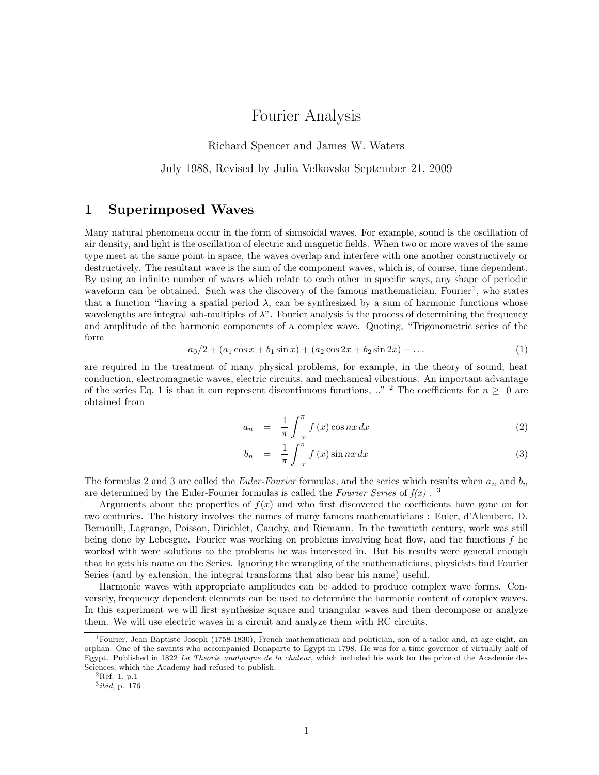# Fourier Analysis

Richard Spencer and James W. Waters

July 1988, Revised by Julia Velkovska September 21, 2009

#### 1 Superimposed Waves

Many natural phenomena occur in the form of sinusoidal waves. For example, sound is the oscillation of air density, and light is the oscillation of electric and magnetic fields. When two or more waves of the same type meet at the same point in space, the waves overlap and interfere with one another constructively or destructively. The resultant wave is the sum of the component waves, which is, of course, time dependent. By using an infinite number of waves which relate to each other in specific ways, any shape of periodic waveform can be obtained. Such was the discovery of the famous mathematician, Fourier<sup>1</sup>, who states that a function "having a spatial period  $\lambda$ , can be synthesized by a sum of harmonic functions whose wavelengths are integral sub-multiples of  $\lambda$ ". Fourier analysis is the process of determining the frequency and amplitude of the harmonic components of a complex wave. Quoting, "Trigonometric series of the form

$$
a_0/2 + (a_1 \cos x + b_1 \sin x) + (a_2 \cos 2x + b_2 \sin 2x) + \dots \tag{1}
$$

are required in the treatment of many physical problems, for example, in the theory of sound, heat conduction, electromagnetic waves, electric circuits, and mechanical vibrations. An important advantage of the series Eq. 1 is that it can represent discontinuous functions,  $\therefore$  <sup>2</sup> The coefficients for  $n > 0$  are obtained from

$$
a_n = \frac{1}{\pi} \int_{-\pi}^{\pi} f(x) \cos nx \, dx \tag{2}
$$

$$
b_n = \frac{1}{\pi} \int_{-\pi}^{\pi} f(x) \sin nx \, dx \tag{3}
$$

The formulas 2 and 3 are called the *Euler-Fourier* formulas, and the series which results when  $a_n$  and  $b_n$ are determined by the Euler-Fourier formulas is called the Fourier Series of  $f(x)$ .<sup>3</sup>

Arguments about the properties of  $f(x)$  and who first discovered the coefficients have gone on for two centuries. The history involves the names of many famous mathematicians : Euler, d'Alembert, D. Bernoulli, Lagrange, Poisson, Dirichlet, Cauchy, and Riemann. In the twentieth century, work was still being done by Lebesgue. Fourier was working on problems involving heat flow, and the functions  $f$  he worked with were solutions to the problems he was interested in. But his results were general enough that he gets his name on the Series. Ignoring the wrangling of the mathematicians, physicists find Fourier Series (and by extension, the integral transforms that also bear his name) useful.

Harmonic waves with appropriate amplitudes can be added to produce complex wave forms. Conversely, frequency dependent elements can be used to determine the harmonic content of complex waves. In this experiment we will first synthesize square and triangular waves and then decompose or analyze them. We will use electric waves in a circuit and analyze them with RC circuits.

<sup>1</sup>Fourier, Jean Baptiste Joseph (1758-1830), French mathematician and politician, son of a tailor and, at age eight, an orphan. One of the savants who accompanied Bonaparte to Egypt in 1798. He was for a time governor of virtually half of Egypt. Published in 1822 La Theorie analytique de la chaleur, which included his work for the prize of the Academie des Sciences, which the Academy had refused to publish.

 ${}^{2}$ Ref. 1, p.1

<sup>3</sup> ibid, p. 176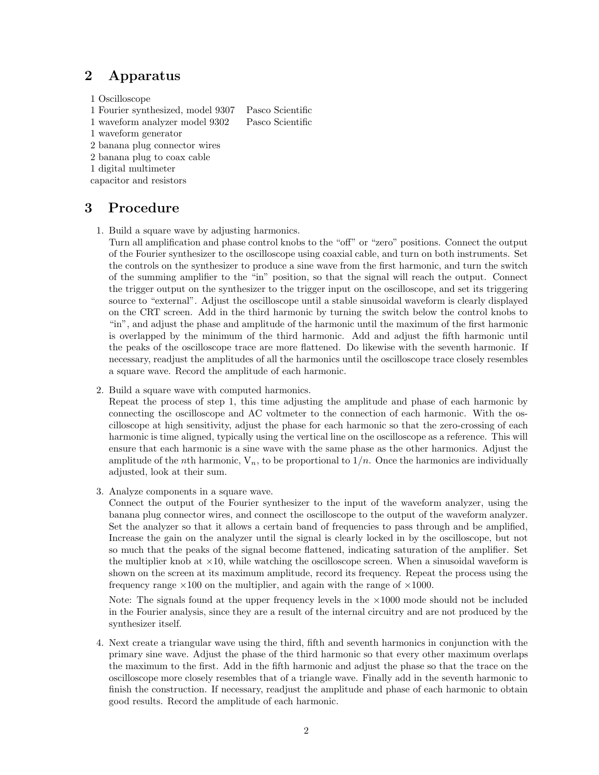## 2 Apparatus

- 1 Oscilloscope
- 1 Fourier synthesized, model 9307 Pasco Scientific
- 1 waveform analyzer model 9302 Pasco Scientific
- 1 waveform generator
- 2 banana plug connector wires
- 2 banana plug to coax cable
- 1 digital multimeter

capacitor and resistors

## 3 Procedure

1. Build a square wave by adjusting harmonics.

Turn all amplification and phase control knobs to the "off" or "zero" positions. Connect the output of the Fourier synthesizer to the oscilloscope using coaxial cable, and turn on both instruments. Set the controls on the synthesizer to produce a sine wave from the first harmonic, and turn the switch of the summing amplifier to the "in" position, so that the signal will reach the output. Connect the trigger output on the synthesizer to the trigger input on the oscilloscope, and set its triggering source to "external". Adjust the oscilloscope until a stable sinusoidal waveform is clearly displayed on the CRT screen. Add in the third harmonic by turning the switch below the control knobs to "in", and adjust the phase and amplitude of the harmonic until the maximum of the first harmonic is overlapped by the minimum of the third harmonic. Add and adjust the fifth harmonic until the peaks of the oscilloscope trace are more flattened. Do likewise with the seventh harmonic. If necessary, readjust the amplitudes of all the harmonics until the oscilloscope trace closely resembles a square wave. Record the amplitude of each harmonic.

2. Build a square wave with computed harmonics.

Repeat the process of step 1, this time adjusting the amplitude and phase of each harmonic by connecting the oscilloscope and AC voltmeter to the connection of each harmonic. With the oscilloscope at high sensitivity, adjust the phase for each harmonic so that the zero-crossing of each harmonic is time aligned, typically using the vertical line on the oscilloscope as a reference. This will ensure that each harmonic is a sine wave with the same phase as the other harmonics. Adjust the amplitude of the *n*th harmonic,  $V_n$ , to be proportional to  $1/n$ . Once the harmonics are individually adjusted, look at their sum.

3. Analyze components in a square wave.

Connect the output of the Fourier synthesizer to the input of the waveform analyzer, using the banana plug connector wires, and connect the oscilloscope to the output of the waveform analyzer. Set the analyzer so that it allows a certain band of frequencies to pass through and be amplified, Increase the gain on the analyzer until the signal is clearly locked in by the oscilloscope, but not so much that the peaks of the signal become flattened, indicating saturation of the amplifier. Set the multiplier knob at  $\times$ 10, while watching the oscilloscope screen. When a sinusoidal waveform is shown on the screen at its maximum amplitude, record its frequency. Repeat the process using the frequency range  $\times 100$  on the multiplier, and again with the range of  $\times 1000$ .

Note: The signals found at the upper frequency levels in the  $\times 1000$  mode should not be included in the Fourier analysis, since they are a result of the internal circuitry and are not produced by the synthesizer itself.

4. Next create a triangular wave using the third, fifth and seventh harmonics in conjunction with the primary sine wave. Adjust the phase of the third harmonic so that every other maximum overlaps the maximum to the first. Add in the fifth harmonic and adjust the phase so that the trace on the oscilloscope more closely resembles that of a triangle wave. Finally add in the seventh harmonic to finish the construction. If necessary, readjust the amplitude and phase of each harmonic to obtain good results. Record the amplitude of each harmonic.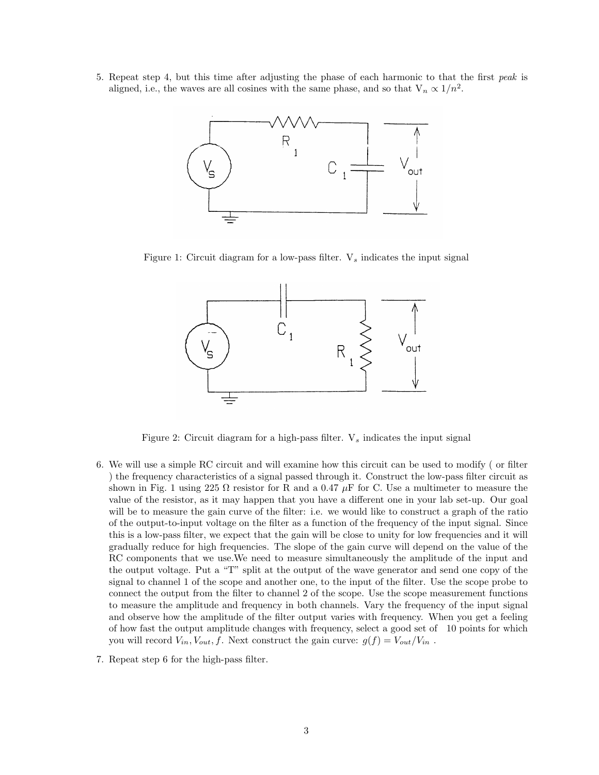5. Repeat step 4, but this time after adjusting the phase of each harmonic to that the first peak is aligned, i.e., the waves are all cosines with the same phase, and so that  $V_n \propto 1/n^2$ .



Figure 1: Circuit diagram for a low-pass filter.  $V_s$  indicates the input signal



Figure 2: Circuit diagram for a high-pass filter.  $V_s$  indicates the input signal

- 6. We will use a simple RC circuit and will examine how this circuit can be used to modify ( or filter ) the frequency characteristics of a signal passed through it. Construct the low-pass filter circuit as shown in Fig. 1 using 225  $\Omega$  resistor for R and a 0.47  $\mu$ F for C. Use a multimeter to measure the value of the resistor, as it may happen that you have a different one in your lab set-up. Our goal will be to measure the gain curve of the filter: i.e. we would like to construct a graph of the ratio of the output-to-input voltage on the filter as a function of the frequency of the input signal. Since this is a low-pass filter, we expect that the gain will be close to unity for low frequencies and it will gradually reduce for high frequencies. The slope of the gain curve will depend on the value of the RC components that we use.We need to measure simultaneously the amplitude of the input and the output voltage. Put a "T" split at the output of the wave generator and send one copy of the signal to channel 1 of the scope and another one, to the input of the filter. Use the scope probe to connect the output from the filter to channel 2 of the scope. Use the scope measurement functions to measure the amplitude and frequency in both channels. Vary the frequency of the input signal and observe how the amplitude of the filter output varies with frequency. When you get a feeling of how fast the output amplitude changes with frequency, select a good set of 10 points for which you will record  $V_{in}$ ,  $V_{out}$ ,  $f$ . Next construct the gain curve:  $g(f) = V_{out}/V_{in}$ .
- 7. Repeat step 6 for the high-pass filter.